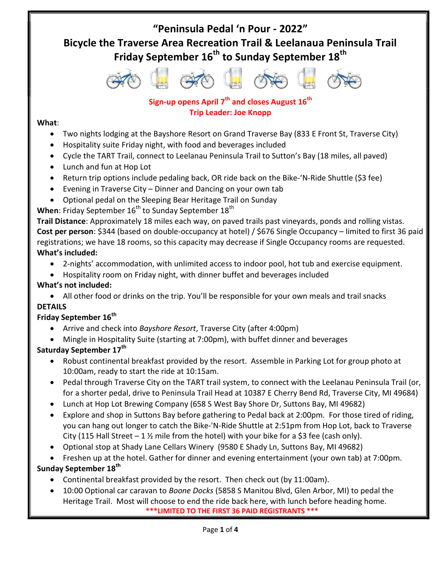# "Peninsula Pedal 'n Pour - 2022" Bicycle the Traverse Area Recreation Trail & Leelanaua Peninsula Trail Friday September 16<sup>th</sup> to Sunday September 18<sup>th</sup>



Sign-up opens April 7<sup>th</sup> and closes August 16<sup>th</sup> Trip Leader: Joe Knopp

### What:

- Two nights lodging at the Bayshore Resort on Grand Traverse Bay (833 E Front St, Traverse City)
- Hospitality suite Friday night, with food and beverages included
- Cycle the TART Trail, connect to Leelanau Peninsula Trail to Sutton's Bay (18 miles, all paved)
- Lunch and fun at Hop Lot
- Return trip options include pedaling back, OR ride back on the Bike-'N-Ride Shuttle (\$3 fee)
- Evening in Traverse City Dinner and Dancing on your own tab
- Optional pedal on the Sleeping Bear Heritage Trail on Sunday

### When: Friday September  $16^{th}$  to Sunday September  $18^{th}$

Trail Distance: Approximately 18 miles each way, on paved trails past vineyards, ponds and rolling vistas. Cost per person: \$344 (based on double-occupancy at hotel) / \$676 Single Occupancy – limited to first 36 paid registrations; we have 18 rooms, so this capacity may decrease if Single Occupancy rooms are requested. What's included:

- 2-nights' accommodation, with unlimited access to indoor pool, hot tub and exercise equipment.
- Hospitality room on Friday night, with dinner buffet and beverages included

### What's not included:

All other food or drinks on the trip. You'll be responsible for your own meals and trail snacks

### DETAILS

# Friday September 16<sup>th</sup>

- Arrive and check into Bayshore Resort, Traverse City (after 4:00pm)
- Mingle in Hospitality Suite (starting at 7:00pm), with buffet dinner and beverages

# Saturday September 17<sup>th</sup>

- Robust continental breakfast provided by the resort. Assemble in Parking Lot for group photo at 10:00am, ready to start the ride at 10:15am.
- Pedal through Traverse City on the TART trail system, to connect with the Leelanau Peninsula Trail (or, for a shorter pedal, drive to Peninsula Trail Head at 10387 E Cherry Bend Rd, Traverse City, MI 49684)
- Lunch at Hop Lot Brewing Company (658 S West Bay Shore Dr, Suttons Bay, MI 49682)
- Explore and shop in Suttons Bay before gathering to Pedal back at 2:00pm. For those tired of riding, you can hang out longer to catch the Bike-'N-Ride Shuttle at 2:51pm from Hop Lot, back to Traverse City (115 Hall Street  $-1 \frac{1}{2}$  mile from the hotel) with your bike for a \$3 fee (cash only).
- Optional stop at Shady Lane Cellars Winery (9580 E Shady Ln, Suttons Bay, MI 49682)
- Freshen up at the hotel. Gather for dinner and evening entertainment (your own tab) at 7:00pm.

# Sunday September 18<sup>th</sup>

- Continental breakfast provided by the resort. Then check out (by 11:00am).
- 10:00 Optional car caravan to Boone Docks (5858 S Manitou Blvd, Glen Arbor, MI) to pedal the Heritage Trail. Most will choose to end the ride back here, with lunch before heading home. \*\*\*LIMITED TO THE FIRST 36 PAID REGISTRANTS \*\*\*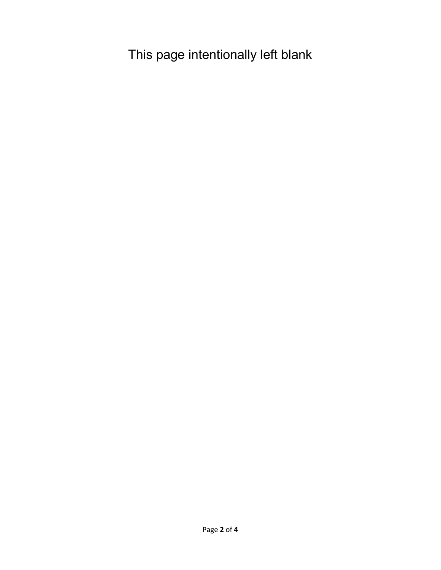This page intentionally left blank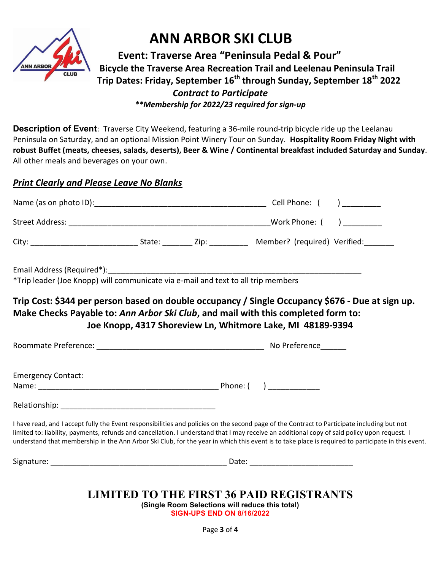

# ANN ARBOR SKI CLUB

 Event: Traverse Area "Peninsula Pedal & Pour" Bicycle the Traverse Area Recreation Trail and Leelenau Peninsula Trail Trip Dates: Friday, September 16<sup>th</sup> through Sunday, September 18<sup>th</sup> 2022 Contract to Participate

\*\*Membership for 2022/23 required for sign-up

Description of Event: Traverse City Weekend, featuring a 36-mile round-trip bicycle ride up the Leelanau Peninsula on Saturday, and an optional Mission Point Winery Tour on Sunday. Hospitality Room Friday Night with robust Buffet (meats, cheeses, salads, deserts), Beer & Wine / Continental breakfast included Saturday and Sunday. All other meals and beverages on your own.

### Print Clearly and Please Leave No Blanks

| *Trip leader (Joe Knopp) will communicate via e-mail and text to all trip members                                                                                                                                                                                                                                                                                                                                                                |  |  |  |
|--------------------------------------------------------------------------------------------------------------------------------------------------------------------------------------------------------------------------------------------------------------------------------------------------------------------------------------------------------------------------------------------------------------------------------------------------|--|--|--|
| Trip Cost: \$344 per person based on double occupancy / Single Occupancy \$676 - Due at sign up.<br>Make Checks Payable to: Ann Arbor Ski Club, and mail with this completed form to:<br>Joe Knopp, 4317 Shoreview Ln, Whitmore Lake, MI 48189-9394                                                                                                                                                                                              |  |  |  |
|                                                                                                                                                                                                                                                                                                                                                                                                                                                  |  |  |  |
| <b>Emergency Contact:</b>                                                                                                                                                                                                                                                                                                                                                                                                                        |  |  |  |
|                                                                                                                                                                                                                                                                                                                                                                                                                                                  |  |  |  |
| I have read, and I accept fully the Event responsibilities and policies on the second page of the Contract to Participate including but not<br>limited to: liability, payments, refunds and cancellation. I understand that I may receive an additional copy of said policy upon request. I<br>understand that membership in the Ann Arbor Ski Club, for the year in which this event is to take place is required to participate in this event. |  |  |  |
|                                                                                                                                                                                                                                                                                                                                                                                                                                                  |  |  |  |
|                                                                                                                                                                                                                                                                                                                                                                                                                                                  |  |  |  |

LIMITED TO THE FIRST 36 PAID REGISTRANTS (Single Room Selections will reduce this total)

SIGN-UPS END ON 8/16/2022